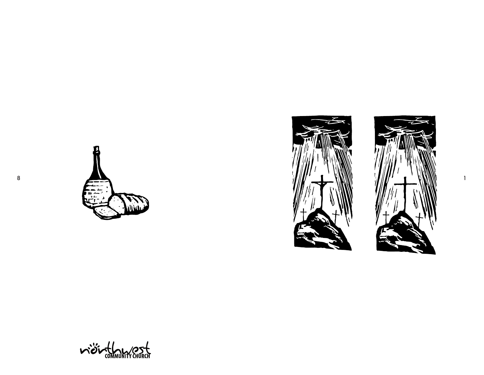





widi thumprised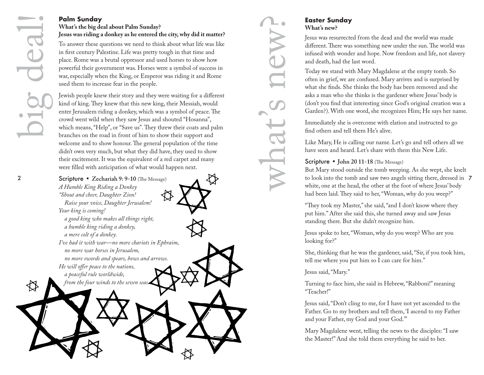#### **Palm Sunday**

# **What's the big deal about Palm Sunday? Jesus was riding a donkey as he entered the city, why did it matter?**

To answer these questions we need to think about what life was like in first century Palestine. Life was pretty tough in that time and place. Rome was a brutal oppressor and used horses to show how powerful their government was. Horses were a symbol of success in war, especially when the King, or Emperor was riding it and Rome used them to increase fear in the people.

Jewish people knew their story and they were waiting for a different kind of king. They knew that this new king, their Messiah, would enter Jerusalem riding a donkey, which was a symbol of peace.The crowd went wild when they saw Jesus and shouted "Hosanna", which means, "Help", or "Save us".They threw their coats and palm branches on the road in front of him to show their support and welcome and to show honour. The general population of the time didn't own very much, but what they did have, they used to show their excitement. It was the equivalent of a red carpet and many were filled with anticipation of what would happen next.

Scripture • **Zechariah 9: 9-10** (The Message) *A Humble King Riding a Donkey "Shout and cheer, Daughter Zion! Raise your voice, Daughter Jerusalem! Your king is coming! a good king who makes all things right, a humble king riding a donkey, a mere colt of a donkey. I've had it with war—no more chariots in Ephraim, no more war horses in Jerusalem, no more swords and spears, bows and arrows. He will offer peace to the nations, a peaceful rule worldwide, from the four winds to the seven seas.*

# **Easter Sunday What's new?**

what's new

Jesus was resurrected from the dead and the world was made different. There was something new under the sun. The world was infused with wonder and hope. Now freedom and life, not slavery and death, had the last word.

Today we stand with Mary Magdalene at the empty tomb. So often in grief, we are confused. Mary arrives and is surprised by what she finds. She thinks the body has been removed and she asks a man who she thinks is the gardener where Jesus' body is (don't you find that interesting since God's original creation was a Garden?).With one word, she recognizes Him; He says her name.

Immediately she is overcome with elation and instructed to go find others and tell them He's alive.

Like Mary, He is calling our name. Let's go and tell others all we have seen and heard. Let's share with them this New Life.

Scripture • **John 20 11-18** (The Message)

2 **Scripture •** Zechariah 9: 9-10 (The Message) **A** But Mary stood outside the tomb weeping. As she wept, she knelt white, one at the head, the other at the foot of where Jesus' body had been laid. They said to her, "Woman, why do you weep?"

> "They took my Master," she said, "and I don't know where they put him." After she said this, she turned away and saw Jesus standing there. But she didn't recognize him.

Jesus spoke to her, "Woman, why do you weep? Who are you looking for?"

She, thinking that he was the gardener, said, "Sir, if you took him, tell me where you put him so I can care for him."

Jesus said, "Mary."

Turning to face him, she said in Hebrew, "Rabboni!" meaning "Teacher!"

Jesus said, "Don't cling to me, for I have not yet ascended to the Father. Go to my brothers and tell them, 'I ascend to my Father and your Father, my God and your God.'"

Mary Magdalene went, telling the news to the disciples: "I saw the Master!" And she told them everything he said to her.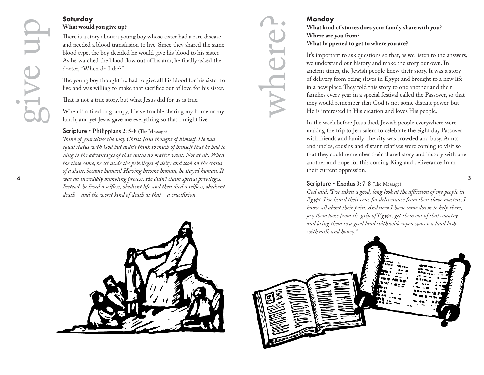#### **Saturday What would you give up?**

There is a story about a young boy whose sister had a rare disease and needed a blood transfusion to live. Since they shared the same blood type, the boy decided he would give his blood to his sister. As he watched the blood flow out of his arm, he finally asked the doctor, "When do I die?"

The young boy thought he had to give all his blood for his sister to live and was willing to make that sacrifice out of love for his sister.

That is not a true story, but what Jesus did for us is true.

When I'm tired or grumpy, I have trouble sharing my home or my lunch, and yet Jesus gave me everything so that I might live.

# Scripture • **Philippians 2: 5-8** (The Message)

6 3 *was an incredibly humbling process. He didn't claim special privileges. Think of yourselves the way Christ Jesus thought of himself. He had equal status with God but didn't think so much of himself that he had to cling to the advantages of that status no matter what. Not at all. When the time came, he set aside the privileges of deity and took on the status of a slave, became human! Having become human, he stayed human. It Instead, he lived a selfless, obedient life and then died a selfless, obedient death—and the worst kind of death at that—a crucifixion.*

# where?

# **Monday What kind of stories does your family share with you? Where are you from? What happened to get to where you are?**

It's important to ask questions so that, as we listen to the answers, we understand our history and make the story our own. In ancient times, the Jewish people knew their story. It was a story of delivery from being slaves in Egypt and brought to a new life in a new place.They told this story to one another and their families every year in a special festival called the Passover, so that they would remember that God is not some distant power, but He is interested in His creation and loves His people.

In the week before Jesus died, Jewish people everywhere were making the trip to Jerusalem to celebrate the eight day Passover with friends and family. The city was crowded and busy. Aunts and uncles, cousins and distant relatives were coming to visit so that they could remember their shared story and history with one another and hope for this coming King and deliverance from their current oppression.

## Scripture • **Exodus 3: 7-8** (The Message)

*God said, "I've taken a good, long look at the affliction of my people in Egypt. I've heard their cries for deliverance from their slave masters; I know all about their pain. And now I have come down to help them, pry them loose from the grip of Egypt, get them out of that country and bring them to a good land with wide-open spaces, a land lush with milk and honey."*